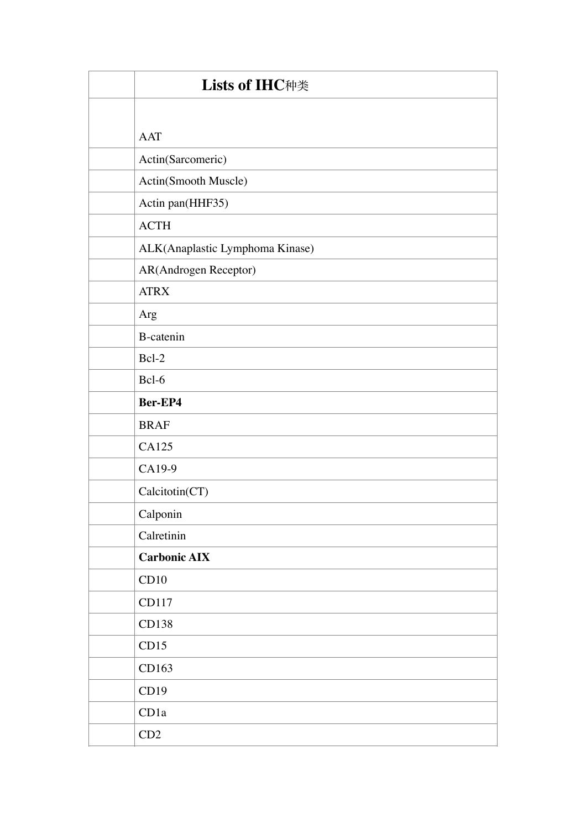| <b>Lists of IHC种类</b>           |
|---------------------------------|
|                                 |
| <b>AAT</b>                      |
| Actin(Sarcomeric)               |
| Actin(Smooth Muscle)            |
| Actin pan(HHF35)                |
| <b>ACTH</b>                     |
| ALK(Anaplastic Lymphoma Kinase) |
| AR(Androgen Receptor)           |
| <b>ATRX</b>                     |
| Arg                             |
| <b>B-catenin</b>                |
| Bcl-2                           |
| Bcl-6                           |
| Ber-EP4                         |
| <b>BRAF</b>                     |
| CA125                           |
| CA19-9                          |
| Calcitotin(CT)                  |
| Calponin                        |
| Calretinin                      |
| <b>Carbonic AIX</b>             |
| CD10                            |
| CD117                           |
| CD138                           |
| CD15                            |
| CD163                           |
| CD19                            |
| CD1a                            |
| CD2                             |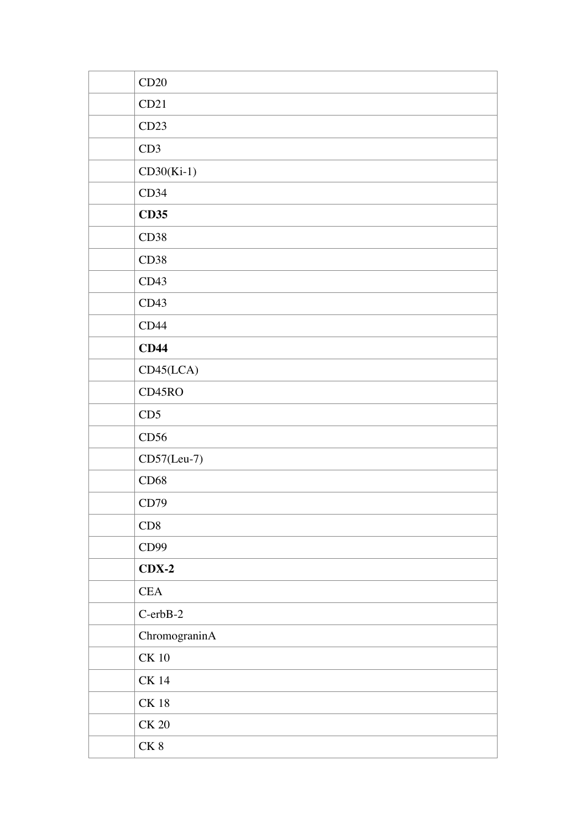| CD20           |
|----------------|
| CD21           |
| CD23           |
| CD3            |
| $CD30(Ki-1)$   |
| CD34           |
| <b>CD35</b>    |
| CD38           |
| CD38           |
| CD43           |
| CD43           |
| CD44           |
| CD44           |
| CD45(LCA)      |
| CD45RO         |
| CD5            |
| CD56           |
| $CD57(Leu-7)$  |
| CD68           |
| CD79           |
| CD8            |
| CD99           |
| $CDX-2$        |
| CEA            |
| $C$ -erb $B-2$ |
| ChromograninA  |
| $\mbox{CK}$ 10 |
| <b>CK 14</b>   |
| <b>CK 18</b>   |
| $\mbox{CK}$ 20 |
| ${\rm CK}$ 8   |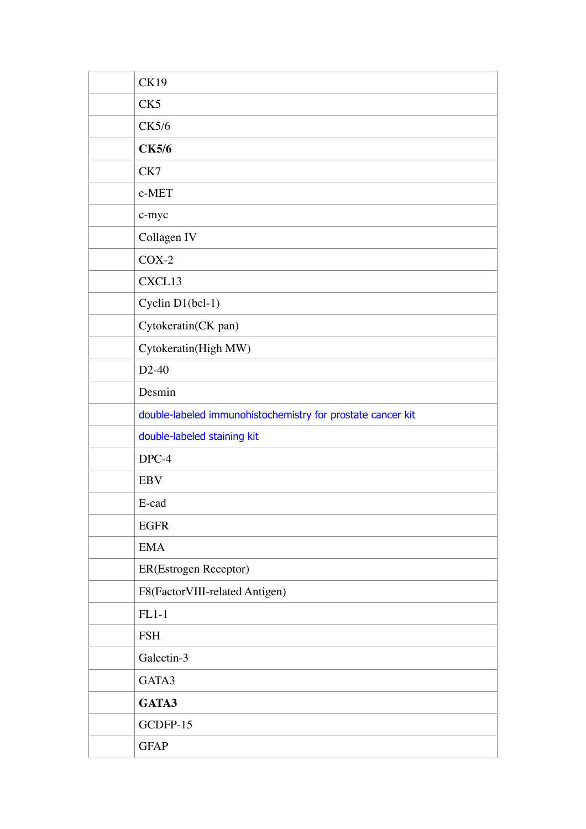| <b>CK19</b>                                                 |
|-------------------------------------------------------------|
| CK <sub>5</sub>                                             |
| <b>CK5/6</b>                                                |
| <b>CK5/6</b>                                                |
| CK7                                                         |
| c-MET                                                       |
| c-myc                                                       |
| Collagen IV                                                 |
| $COX-2$                                                     |
| CXCL13                                                      |
| Cyclin D1(bcl-1)                                            |
| Cytokeratin(CK pan)                                         |
| Cytokeratin(High MW)                                        |
| $D2-40$                                                     |
| Desmin                                                      |
| double-labeled immunohistochemistry for prostate cancer kit |
| double-labeled staining kit                                 |
| DPC-4                                                       |
| <b>EBV</b>                                                  |
| E-cad                                                       |
| <b>EGFR</b>                                                 |
| <b>EMA</b>                                                  |
| ER(Estrogen Receptor)                                       |
| F8(FactorVIII-related Antigen)                              |
| $FL1-1$                                                     |
| <b>FSH</b>                                                  |
| Galectin-3                                                  |
| GATA3                                                       |
| GATA3                                                       |
| GCDFP-15                                                    |
| <b>GFAP</b>                                                 |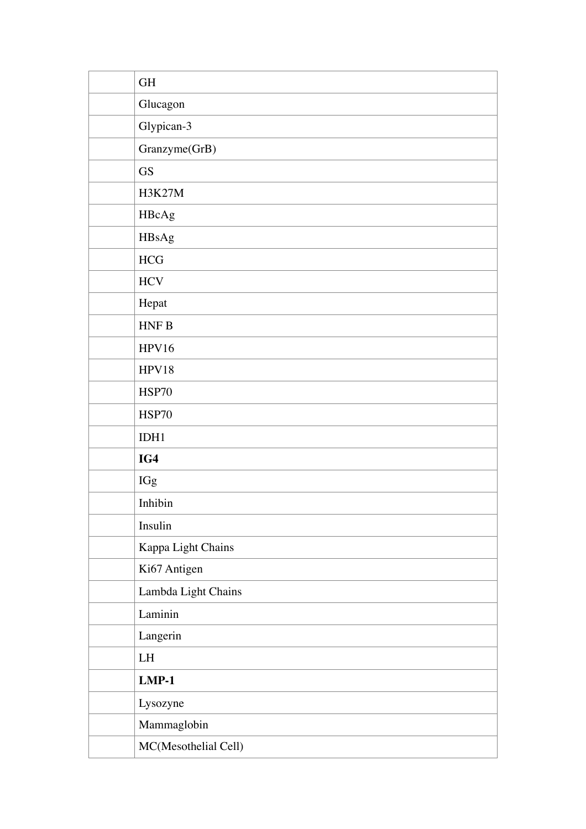| <b>GH</b>            |
|----------------------|
| Glucagon             |
| Glypican-3           |
| Granzyme(GrB)        |
| <b>GS</b>            |
| <b>H3K27M</b>        |
| HBcAg                |
| HBsAg                |
| HCG                  |
| <b>HCV</b>           |
| Hepat                |
| HNFB                 |
| HPV16                |
| HPV18                |
| <b>HSP70</b>         |
| <b>HSP70</b>         |
| IDH1                 |
| IG4                  |
| IGg                  |
| Inhibin              |
| Insulin              |
| Kappa Light Chains   |
| Ki67 Antigen         |
| Lambda Light Chains  |
| Laminin              |
| Langerin             |
| LH                   |
| $LMP-1$              |
| Lysozyne             |
| Mammaglobin          |
| MC(Mesothelial Cell) |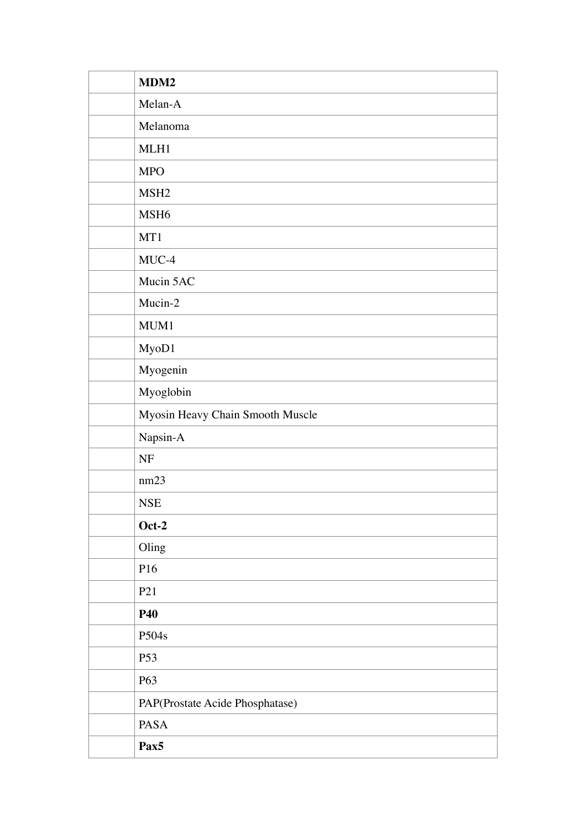| MDM2                             |
|----------------------------------|
| Melan-A                          |
| Melanoma                         |
| MLH1                             |
| <b>MPO</b>                       |
| MSH <sub>2</sub>                 |
| MSH <sub>6</sub>                 |
| MT1                              |
| MUC-4                            |
| Mucin 5AC                        |
| Mucin-2                          |
| MUM1                             |
| MyoD1                            |
| Myogenin                         |
| Myoglobin                        |
| Myosin Heavy Chain Smooth Muscle |
| Napsin- $A$                      |
| $\ensuremath{\text{NF}}$         |
| nm23                             |
| <b>NSE</b>                       |
| $Oct-2$                          |
| Oling                            |
| P16                              |
| P <sub>21</sub>                  |
| <b>P40</b>                       |
| P504s                            |
| P <sub>53</sub>                  |
| P63                              |
| PAP(Prostate Acide Phosphatase)  |
| PASA                             |
| Pax <sub>5</sub>                 |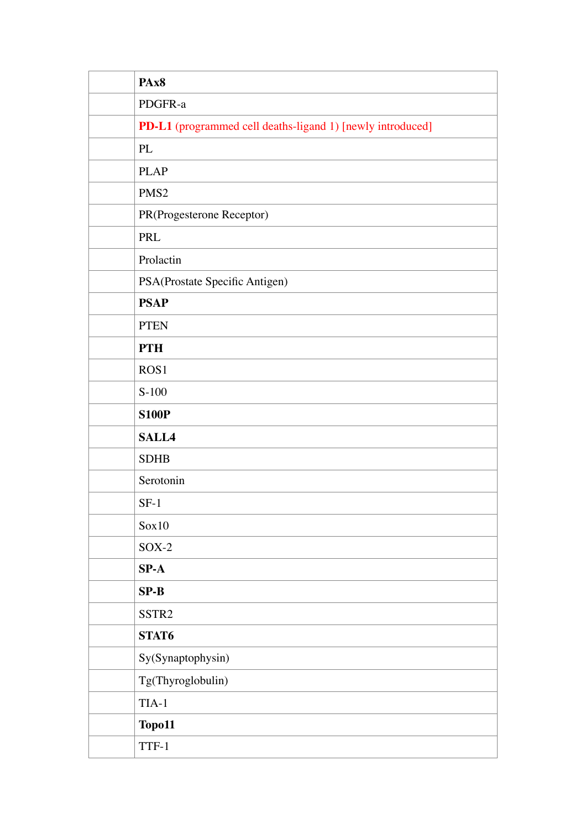| PAx8                                                       |
|------------------------------------------------------------|
| PDGFR-a                                                    |
| PD-L1 (programmed cell deaths-ligand 1) [newly introduced] |
| PL                                                         |
| <b>PLAP</b>                                                |
| PMS <sub>2</sub>                                           |
| PR(Progesterone Receptor)                                  |
| PRL                                                        |
| Prolactin                                                  |
| PSA(Prostate Specific Antigen)                             |
| <b>PSAP</b>                                                |
| <b>PTEN</b>                                                |
| <b>PTH</b>                                                 |
| ROS <sub>1</sub>                                           |
| $S-100$                                                    |
| <b>S100P</b>                                               |
| SALL4                                                      |
| <b>SDHB</b>                                                |
| Serotonin                                                  |
| $SF-1$                                                     |
| Sox10                                                      |
| $SOX-2$                                                    |
| $SP-A$                                                     |
| $SP-B$                                                     |
| SSTR <sub>2</sub>                                          |
| STAT6                                                      |
| Sy(Synaptophysin)                                          |
| Tg(Thyroglobulin)                                          |
| $TIA-1$                                                    |
| Topo11                                                     |
| TTF-1                                                      |